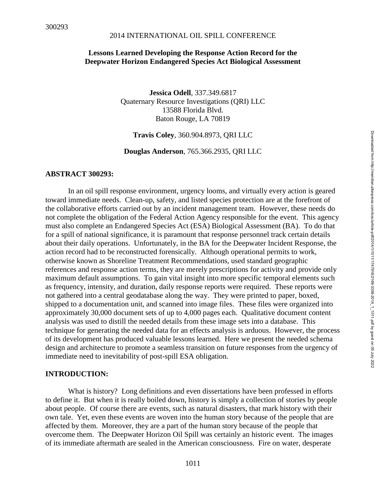## **Lessons Learned Developing the Response Action Record for the Deepwater Horizon Endangered Species Act Biological Assessment**

**Jessica Odell**, 337.349.6817 Quaternary Resource Investigations (QRI) LLC 13588 Florida Blvd. Baton Rouge, LA 70819

**Travis Coley**, 360.904.8973, QRI LLC

**Douglas Anderson**, 765.366.2935, QRI LLC

#### **ABSTRACT 300293:**

In an oil spill response environment, urgency looms, and virtually every action is geared toward immediate needs. Clean-up, safety, and listed species protection are at the forefront of the collaborative efforts carried out by an incident management team. However, these needs do not complete the obligation of the Federal Action Agency responsible for the event. This agency must also complete an Endangered Species Act (ESA) Biological Assessment (BA). To do that for a spill of national significance, it is paramount that response personnel track certain details about their daily operations. Unfortunately, in the BA for the Deepwater Incident Response, the action record had to be reconstructed forensically. Although operational permits to work, otherwise known as Shoreline Treatment Recommendations, used standard geographic references and response action terms, they are merely prescriptions for activity and provide only maximum default assumptions. To gain vital insight into more specific temporal elements such as frequency, intensity, and duration, daily response reports were required. These reports were not gathered into a central geodatabase along the way. They were printed to paper, boxed, shipped to a documentation unit, and scanned into image files. These files were organized into approximately 30,000 document sets of up to 4,000 pages each. Qualitative document content analysis was used to distill the needed details from these image sets into a database. This technique for generating the needed data for an effects analysis is arduous. However, the process of its development has produced valuable lessons learned. Here we present the needed schema design and architecture to promote a seamless transition on future responses from the urgency of immediate need to inevitability of post-spill ESA obligation.

#### **INTRODUCTION:**

What is history? Long definitions and even dissertations have been professed in efforts to define it. But when it is really boiled down, history is simply a collection of stories by people about people. Of course there are events, such as natural disasters, that mark history with their own tale. Yet, even these events are woven into the human story because of the people that are affected by them. Moreover, they are a part of the human story because of the people that overcome them. The Deepwater Horizon Oil Spill was certainly an historic event. The images of its immediate aftermath are sealed in the American consciousness. Fire on water, desperate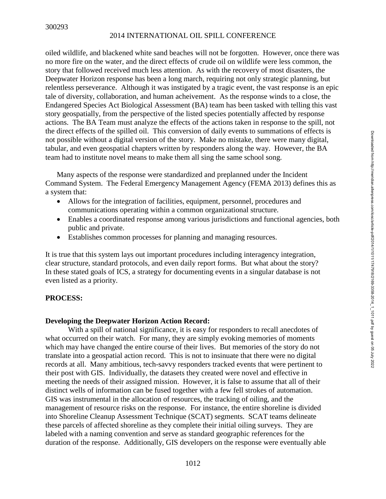oiled wildlife, and blackened white sand beaches will not be forgotten. However, once there was no more fire on the water, and the direct effects of crude oil on wildlife were less common, the story that followed received much less attention. As with the recovery of most disasters, the Deepwater Horizon response has been a long march, requiring not only strategic planning, but relentless perseverance. Although it was instigated by a tragic event, the vast response is an epic tale of diversity, collaboration, and human acheivement. As the response winds to a close, the Endangered Species Act Biological Assessment (BA) team has been tasked with telling this vast story geospatially, from the perspective of the listed species potentially affected by response actions. The BA Team must analyze the effects of the actions taken in response to the spill, not the direct effects of the spilled oil. This conversion of daily events to summations of effects is not possible without a digital version of the story. Make no mistake, there were many digital, tabular, and even geospatial chapters written by responders along the way. However, the BA team had to institute novel means to make them all sing the same school song.

Many aspects of the response were standardized and preplanned under the Incident Command System. The Federal Emergency Management Agency (FEMA 2013) defines this as a system that:

- Allows for the integration of facilities, equipment, personnel, procedures and communications operating within a common organizational structure.
- Enables a coordinated response among various jurisdictions and functional agencies, both public and private.
- Establishes common processes for planning and managing resources.

It is true that this system lays out important procedures including interagency integration, clear structure, standard protocols, and even daily report forms. But what about the story? In these stated goals of ICS, a strategy for documenting events in a singular database is not even listed as a priority.

## **PROCESS:**

## **Developing the Deepwater Horizon Action Record:**

With a spill of national significance, it is easy for responders to recall anecdotes of what occurred on their watch. For many, they are simply evoking memories of moments which may have changed the entire course of their lives. But memories of the story do not translate into a geospatial action record. This is not to insinuate that there were no digital records at all. Many ambitious, tech-savvy responders tracked events that were pertinent to their post with GIS. Individually, the datasets they created were novel and effective in meeting the needs of their assigned mission. However, it is false to assume that all of their distinct wells of information can be fused together with a few fell strokes of automation. GIS was instrumental in the allocation of resources, the tracking of oiling, and the management of resource risks on the response. For instance, the entire shoreline is divided into Shoreline Cleanup Assessment Technique (SCAT) segments. SCAT teams delineate these parcels of affected shoreline as they complete their initial oiling surveys. They are labeled with a naming convention and serve as standard geographic references for the duration of the response. Additionally, GIS developers on the response were eventually able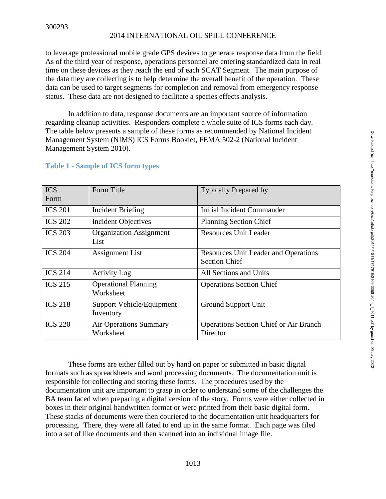to leverage professional mobile grade GPS devices to generate response data from the field. As of the third year of response, operations personnel are entering standardized data in real time on these devices as they reach the end of each SCAT Segment. The main purpose of the data they are collecting is to help determine the overall benefit of the operation. These data can be used to target segments for completion and removal from emergency response status. These data are not designed to facilitate a species effects analysis.

In addition to data, response documents are an important source of information regarding cleanup activities. Responders complete a whole suite of ICS forms each day. The table below presents a sample of these forms as recommended by National Incident Management System (NIMS) ICS Forms Booklet, FEMA 502-2 (National Incident Management System 2010).

| <b>ICS</b><br>Form | Form Title                                    | <b>Typically Prepared by</b>                                        |
|--------------------|-----------------------------------------------|---------------------------------------------------------------------|
| <b>ICS 201</b>     | <b>Incident Briefing</b>                      | Initial Incident Commander                                          |
| <b>ICS 202</b>     | <b>Incident Objectives</b>                    | <b>Planning Section Chief</b>                                       |
| <b>ICS 203</b>     | <b>Organization Assignment</b><br>List        | <b>Resources Unit Leader</b>                                        |
| <b>ICS 204</b>     | <b>Assignment List</b>                        | <b>Resources Unit Leader and Operations</b><br><b>Section Chief</b> |
| <b>ICS 214</b>     | <b>Activity Log</b>                           | All Sections and Units                                              |
| <b>ICS 215</b>     | <b>Operational Planning</b><br>Worksheet      | <b>Operations Section Chief</b>                                     |
| <b>ICS 218</b>     | <b>Support Vehicle/Equipment</b><br>Inventory | Ground Support Unit                                                 |
| <b>ICS 220</b>     | <b>Air Operations Summary</b><br>Worksheet    | <b>Operations Section Chief or Air Branch</b><br>Director           |

## **Table 1 - Sample of ICS form types**

These forms are either filled out by hand on paper or submitted in basic digital formats such as spreadsheets and word processing documents. The documentation unit is responsible for collecting and storing these forms. The procedures used by the documentation unit are important to grasp in order to understand some of the challenges the BA team faced when preparing a digital version of the story. Forms were either collected in boxes in their original handwritten format or were printed from their basic digital form. These stacks of documents were then couriered to the documentation unit headquarters for processing. There, they were all fated to end up in the same format. Each page was filed into a set of like documents and then scanned into an individual image file.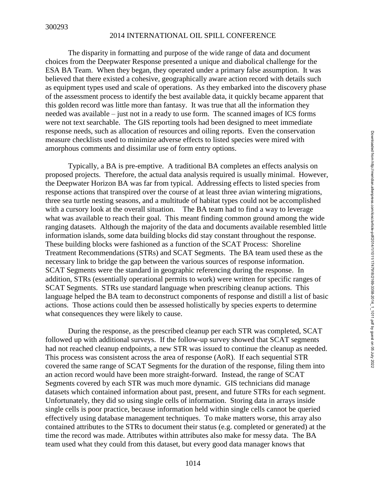The disparity in formatting and purpose of the wide range of data and document choices from the Deepwater Response presented a unique and diabolical challenge for the ESA BA Team. When they began, they operated under a primary false assumption. It was believed that there existed a cohesive, geographically aware action record with details such as equipment types used and scale of operations. As they embarked into the discovery phase of the assessment process to identify the best available data, it quickly became apparent that this golden record was little more than fantasy. It was true that all the information they needed was available – just not in a ready to use form. The scanned images of ICS forms were not text searchable. The GIS reporting tools had been designed to meet immediate response needs, such as allocation of resources and oiling reports. Even the conservation measure checklists used to minimize adverse effects to listed species were mired with amorphous comments and dissimilar use of form entry options.

Typically, a BA is pre-emptive. A traditional BA completes an effects analysis on proposed projects. Therefore, the actual data analysis required is usually minimal. However, the Deepwater Horizon BA was far from typical. Addressing effects to listed species from response actions that transpired over the course of at least three avian wintering migrations, three sea turtle nesting seasons, and a multitude of habitat types could not be accomplished with a cursory look at the overall situation. The BA team had to find a way to leverage what was available to reach their goal. This meant finding common ground among the wide ranging datasets. Although the majority of the data and documents available resembled little information islands, some data building blocks did stay constant throughout the response. These building blocks were fashioned as a function of the SCAT Process: Shoreline Treatment Recommendations (STRs) and SCAT Segments. The BA team used these as the necessary link to bridge the gap between the various sources of response information. SCAT Segments were the standard in geographic referencing during the response. In addition, STRs (essentially operational permits to work) were written for specific ranges of SCAT Segments. STRs use standard language when prescribing cleanup actions. This language helped the BA team to deconstruct components of response and distill a list of basic actions. Those actions could then be assessed holistically by species experts to determine what consequences they were likely to cause.

During the response, as the prescribed cleanup per each STR was completed, SCAT followed up with additional surveys. If the follow-up survey showed that SCAT segments had not reached cleanup endpoints, a new STR was issued to continue the cleanup as needed. This process was consistent across the area of response (AoR). If each sequential STR covered the same range of SCAT Segments for the duration of the response, filing them into an action record would have been more straight-forward. Instead, the range of SCAT Segments covered by each STR was much more dynamic. GIS technicians did manage datasets which contained information about past, present, and future STRs for each segment. Unfortunately, they did so using single cells of information. Storing data in arrays inside single cells is poor practice, because information held within single cells cannot be queried effectively using database management techniques. To make matters worse, this array also contained attributes to the STRs to document their status (e.g. completed or generated) at the time the record was made. Attributes within attributes also make for messy data. The BA team used what they could from this dataset, but every good data manager knows that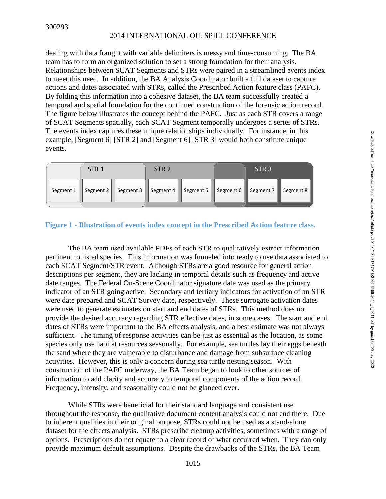dealing with data fraught with variable delimiters is messy and time-consuming. The BA team has to form an organized solution to set a strong foundation for their analysis. Relationships between SCAT Segments and STRs were paired in a streamlined events index to meet this need. In addition, the BA Analysis Coordinator built a full dataset to capture actions and dates associated with STRs, called the Prescribed Action feature class (PAFC). By folding this information into a cohesive dataset, the BA team successfully created a temporal and spatial foundation for the continued construction of the forensic action record. The figure below illustrates the concept behind the PAFC. Just as each STR covers a range of SCAT Segments spatially, each SCAT Segment temporally undergoes a series of STRs. The events index captures these unique relationships individually. For instance, in this example, [Segment 6] [STR 2] and [Segment 6] [STR 3] would both constitute unique events.



## **Figure 1 - Illustration of events index concept in the Prescribed Action feature class.**

The BA team used available PDFs of each STR to qualitatively extract information pertinent to listed species. This information was funneled into ready to use data associated to each SCAT Segment/STR event. Although STRs are a good resource for general action descriptions per segment, they are lacking in temporal details such as frequency and active date ranges. The Federal On-Scene Coordinator signature date was used as the primary indicator of an STR going active. Secondary and tertiary indicators for activation of an STR were date prepared and SCAT Survey date, respectively. These surrogate activation dates were used to generate estimates on start and end dates of STRs. This method does not provide the desired accuracy regarding STR effective dates, in some cases. The start and end dates of STRs were important to the BA effects analysis, and a best estimate was not always sufficient. The timing of response activities can be just as essential as the location, as some species only use habitat resources seasonally. For example, sea turtles lay their eggs beneath the sand where they are vulnerable to disturbance and damage from subsurface cleaning activities. However, this is only a concern during sea turtle nesting season. With construction of the PAFC underway, the BA Team began to look to other sources of information to add clarity and accuracy to temporal components of the action record. Frequency, intensity, and seasonality could not be glanced over.

While STRs were beneficial for their standard language and consistent use throughout the response, the qualitative document content analysis could not end there. Due to inherent qualities in their original purpose, STRs could not be used as a stand-alone dataset for the effects analysis. STRs prescribe cleanup activities, sometimes with a range of options. Prescriptions do not equate to a clear record of what occurred when. They can only provide maximum default assumptions. Despite the drawbacks of the STRs, the BA Team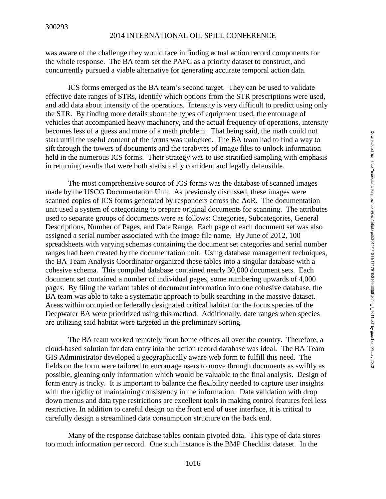was aware of the challenge they would face in finding actual action record components for the whole response. The BA team set the PAFC as a priority dataset to construct, and concurrently pursued a viable alternative for generating accurate temporal action data.

ICS forms emerged as the BA team's second target. They can be used to validate effective date ranges of STRs, identify which options from the STR prescriptions were used, and add data about intensity of the operations. Intensity is very difficult to predict using only the STR. By finding more details about the types of equipment used, the entourage of vehicles that accompanied heavy machinery, and the actual frequency of operations, intensity becomes less of a guess and more of a math problem. That being said, the math could not start until the useful content of the forms was unlocked. The BA team had to find a way to sift through the towers of documents and the terabytes of image files to unlock information held in the numerous ICS forms. Their strategy was to use stratified sampling with emphasis in returning results that were both statistically confident and legally defensible.

The most comprehensive source of ICS forms was the database of scanned images made by the USCG Documentation Unit. As previously discussed, these images were scanned copies of ICS forms generated by responders across the AoR. The documentation unit used a system of categorizing to prepare original documents for scanning. The attributes used to separate groups of documents were as follows: Categories, Subcategories, General Descriptions, Number of Pages, and Date Range. Each page of each document set was also assigned a serial number associated with the image file name. By June of 2012, 100 spreadsheets with varying schemas containing the document set categories and serial number ranges had been created by the documentation unit. Using database management techniques, the BA Team Analysis Coordinator organized these tables into a singular database with a cohesive schema. This compiled database contained nearly 30,000 document sets. Each document set contained a number of individual pages, some numbering upwards of 4,000 pages. By filing the variant tables of document information into one cohesive database, the BA team was able to take a systematic approach to bulk searching in the massive dataset. Areas within occupied or federally designated critical habitat for the focus species of the Deepwater BA were prioritized using this method. Additionally, date ranges when species are utilizing said habitat were targeted in the preliminary sorting.

The BA team worked remotely from home offices all over the country. Therefore, a cloud-based solution for data entry into the action record database was ideal. The BA Team GIS Administrator developed a geographically aware web form to fulfill this need. The fields on the form were tailored to encourage users to move through documents as swiftly as possible, gleaning only information which would be valuable to the final analysis. Design of form entry is tricky. It is important to balance the flexibility needed to capture user insights with the rigidity of maintaining consistency in the information. Data validation with drop down menus and data type restrictions are excellent tools in making control features feel less restrictive. In addition to careful design on the front end of user interface, it is critical to carefully design a streamlined data consumption structure on the back end.

Many of the response database tables contain pivoted data. This type of data stores too much information per record. One such instance is the BMP Checklist dataset. In the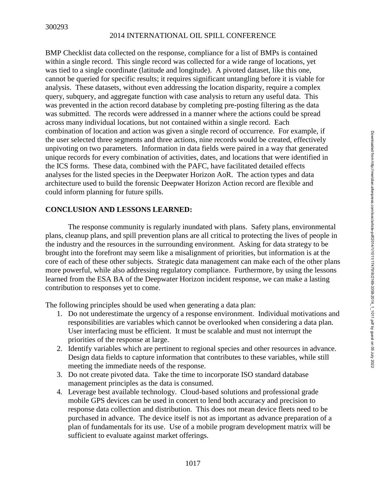BMP Checklist data collected on the response, compliance for a list of BMPs is contained within a single record. This single record was collected for a wide range of locations, yet was tied to a single coordinate (latitude and longitude). A pivoted dataset, like this one, cannot be queried for specific results; it requires significant untangling before it is viable for analysis. These datasets, without even addressing the location disparity, require a complex query, subquery, and aggregate function with case analysis to return any useful data. This was prevented in the action record database by completing pre-posting filtering as the data was submitted. The records were addressed in a manner where the actions could be spread across many individual locations, but not contained within a single record. Each combination of location and action was given a single record of occurrence. For example, if the user selected three segments and three actions, nine records would be created, effectively unpivoting on two parameters. Information in data fields were paired in a way that generated unique records for every combination of activities, dates, and locations that were identified in the ICS forms. These data, combined with the PAFC, have facilitated detailed effects analyses for the listed species in the Deepwater Horizon AoR. The action types and data architecture used to build the forensic Deepwater Horizon Action record are flexible and could inform planning for future spills.

## **CONCLUSION AND LESSONS LEARNED:**

The response community is regularly inundated with plans. Safety plans, environmental plans, cleanup plans, and spill prevention plans are all critical to protecting the lives of people in the industry and the resources in the surrounding environment. Asking for data strategy to be brought into the forefront may seem like a misalignment of priorities, but information is at the core of each of these other subjects. Strategic data management can make each of the other plans more powerful, while also addressing regulatory compliance. Furthermore, by using the lessons learned from the ESA BA of the Deepwater Horizon incident response, we can make a lasting contribution to responses yet to come.

The following principles should be used when generating a data plan:

- 1. Do not underestimate the urgency of a response environment. Individual motivations and responsibilities are variables which cannot be overlooked when considering a data plan. User interfacing must be efficient. It must be scalable and must not interrupt the priorities of the response at large.
- 2. Identify variables which are pertinent to regional species and other resources in advance. Design data fields to capture information that contributes to these variables, while still meeting the immediate needs of the response.
- 3. Do not create pivoted data. Take the time to incorporate ISO standard database management principles as the data is consumed.
- 4. Leverage best available technology. Cloud-based solutions and professional grade mobile GPS devices can be used in concert to lend both accuracy and precision to response data collection and distribution. This does not mean device fleets need to be purchased in advance. The device itself is not as important as advance preparation of a plan of fundamentals for its use. Use of a mobile program development matrix will be sufficient to evaluate against market offerings.